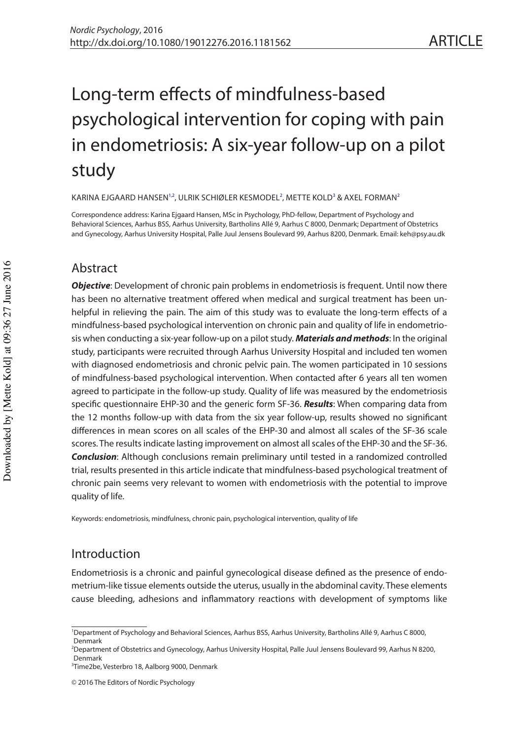# Long-term efects of mindfulness-based psychological intervention for coping with pain in endometriosis: A six-year follow-up on a pilot study

KARINA EJGAARD HANSE[N1](#page-0-0)[,2](#page-0-1), ULRIK SCHIØLER KESMODEL<sup>[2](#page-0-1)</sup>, METTE KOLD<sup>3</sup> & AXEL FORMAN<sup>2</sup>

Correspondence address: Karina Ejgaard Hansen, MSc in Psychology, PhD-fellow, Department of Psychology and Behavioral Sciences, Aarhus BSS, Aarhus University, Bartholins Allé 9, Aarhus C 8000, Denmark; Department of Obstetrics and Gynecology, Aarhus University Hospital, Palle Juul Jensens Boulevard 99, Aarhus 8200, Denmark. Email: [keh@psy.au.dk](mailto:keh@psy.au.dk)

# Abstract

**Objective**: Development of chronic pain problems in endometriosis is frequent. Until now there has been no alternative treatment offered when medical and surgical treatment has been unhelpful in relieving the pain. The aim of this study was to evaluate the long-term efects of a mindfulness-based psychological intervention on chronic pain and quality of life in endometriosis when conducting a six-year follow-up on a pilot study. **Materials and methods**: In the original study, participants were recruited through Aarhus University Hospital and included ten women with diagnosed endometriosis and chronic pelvic pain. The women participated in 10 sessions of mindfulness-based psychological intervention. When contacted after 6 years all ten women agreed to participate in the follow-up study. Quality of life was measured by the endometriosis specifc questionnaire EHP-30 and the generic form SF-36. **Results**: When comparing data from the 12 months follow-up with data from the six year follow-up, results showed no signifcant diferences in mean scores on all scales of the EHP-30 and almost all scales of the SF-36 scale scores. The results indicate lasting improvement on almost all scales of the EHP-30 and the SF-36. **Conclusion**: Although conclusions remain preliminary until tested in a randomized controlled trial, results presented in this article indicate that mindfulness-based psychological treatment of chronic pain seems very relevant to women with endometriosis with the potential to improve quality of life.

Keywords: endometriosis, mindfulness, chronic pain, psychological intervention, quality of life

# Introduction

Endometriosis is a chronic and painful gynecological disease defned as the presence of endometrium-like tissue elements outside the uterus, usually in the abdominal cavity. These elements cause bleeding, adhesions and infammatory reactions with development of symptoms like

<span id="page-0-0"></span><sup>&</sup>lt;sup>1</sup>Department of Psychology and Behavioral Sciences, Aarhus BSS, Aarhus University, Bartholins Allé 9, Aarhus C 8000, Denmark

<span id="page-0-1"></span><sup>2</sup> Department of Obstetrics and Gynecology, Aarhus University Hospital, Palle Juul Jensens Boulevard 99, Aarhus N 8200, Denmark

<span id="page-0-2"></span><sup>3</sup> Time2be, Vesterbro 18, Aalborg 9000, Denmark

<sup>© 2016</sup> The Editors of Nordic Psychology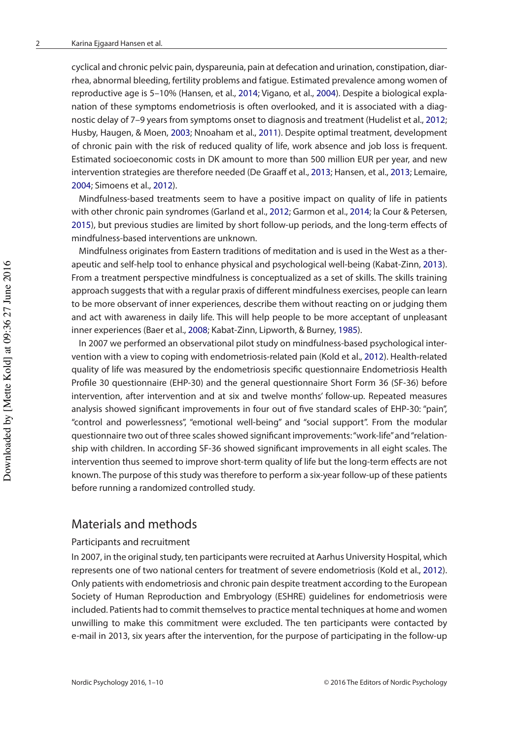<span id="page-1-7"></span><span id="page-1-6"></span><span id="page-1-4"></span>cyclical and chronic pelvic pain, dyspareunia, pain at defecation and urination, constipation, diarrhea, abnormal bleeding, fertility problems and fatigue. Estimated prevalence among women of reproductive age is 5–10% (Hansen, et al., [2014](#page-8-0); Vigano, et al., [2004](#page-9-0)). Despite a biological explanation of these symptoms endometriosis is often overlooked, and it is associated with a diagnostic delay of 7–9 years from symptoms onset to diagnosis and treatment (Hudelist et al., [2012](#page-8-1); Husby, Haugen, & Moen, [2003;](#page-8-2) Nnoaham et al., [2011](#page-9-1)). Despite optimal treatment, development of chronic pain with the risk of reduced quality of life, work absence and job loss is frequent. Estimated socioeconomic costs in DK amount to more than 500 million EUR per year, and new intervention strategies are therefore needed (De Graaff et al., [2013](#page-8-3); Hansen, et al., [2013;](#page-8-4) Lemaire, [2004](#page-9-2); Simoens et al., [2012](#page-9-3)).

<span id="page-1-5"></span><span id="page-1-3"></span><span id="page-1-2"></span><span id="page-1-1"></span>Mindfulness-based treatments seem to have a positive impact on quality of life in patients with other chronic pain syndromes (Garland et al., [2012;](#page-8-5) Garmon et al., [2014](#page-8-6); la Cour & Petersen, [2015](#page-9-4)), but previous studies are limited by short follow-up periods, and the long-term efects of mindfulness-based interventions are unknown.

Mindfulness originates from Eastern traditions of meditation and is used in the West as a therapeutic and self-help tool to enhance physical and psychological well-being (Kabat-Zinn, [2013\)](#page-9-5). From a treatment perspective mindfulness is conceptualized as a set of skills. The skills training approach suggests that with a regular praxis of different mindfulness exercises, people can learn to be more observant of inner experiences, describe them without reacting on or judging them and act with awareness in daily life. This will help people to be more acceptant of unpleasant inner experiences (Baer et al., [2008](#page-8-7); Kabat-Zinn, Lipworth, & Burney, [1985\)](#page-9-6).

<span id="page-1-0"></span>In 2007 we performed an observational pilot study on mindfulness-based psychological intervention with a view to coping with endometriosis-related pain (Kold et al., [2012\)](#page-9-7). Health-related quality of life was measured by the endometriosis specifc questionnaire Endometriosis Health Profle 30 questionnaire (EHP-30) and the general questionnaire Short Form 36 (SF-36) before intervention, after intervention and at six and twelve months' follow-up. Repeated measures analysis showed signifcant improvements in four out of fve standard scales of EHP-30: "pain", "control and powerlessness", "emotional well-being" and "social support". From the modular questionnaire two out of three scales showed signifcant improvements: "work-life" and "relationship with children. In according SF-36 showed signifcant improvements in all eight scales. The intervention thus seemed to improve short-term quality of life but the long-term efects are not known. The purpose of this study was therefore to perform a six-year follow-up of these patients before running a randomized controlled study.

## Materials and methods

## Participants and recruitment

In 2007, in the original study, ten participants were recruited at Aarhus University Hospital, which represents one of two national centers for treatment of severe endometriosis (Kold et al., [2012\)](#page-9-7). Only patients with endometriosis and chronic pain despite treatment according to the European Society of Human Reproduction and Embryology (ESHRE) guidelines for endometriosis were included. Patients had to commit themselves to practice mental techniques at home and women unwilling to make this commitment were excluded. The ten participants were contacted by e-mail in 2013, six years after the intervention, for the purpose of participating in the follow-up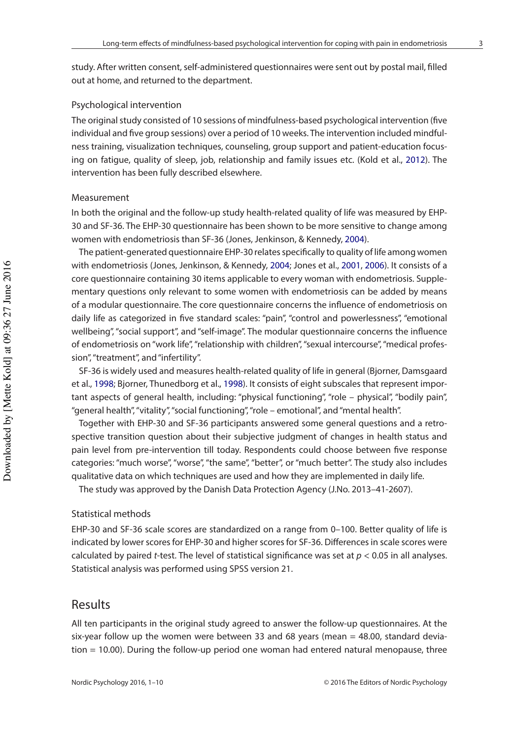study. After written consent, self-administered questionnaires were sent out by postal mail, flled out at home, and returned to the department.

#### Psychological intervention

The original study consisted of 10 sessions of mindfulness-based psychological intervention (fve individual and fve group sessions) over a period of 10 weeks. The intervention included mindfulness training, visualization techniques, counseling, group support and patient-education focusing on fatigue, quality of sleep, job, relationship and family issues etc. (Kold et al., [2012](#page-9-7)). The intervention has been fully described elsewhere.

#### Measurement

In both the original and the follow-up study health-related quality of life was measured by EHP-30 and SF-36. The EHP-30 questionnaire has been shown to be more sensitive to change among women with endometriosis than SF-36 (Jones, Jenkinson, & Kennedy, [2004](#page-8-8)).

<span id="page-2-3"></span><span id="page-2-2"></span>The patient-generated questionnaire EHP-30 relates specifcally to quality of life among women with endometriosis (Jones, Jenkinson, & Kennedy, [2004](#page-8-8); Jones et al., [2001](#page-9-8), [2006](#page-8-9)). It consists of a core questionnaire containing 30 items applicable to every woman with endometriosis. Supplementary questions only relevant to some women with endometriosis can be added by means of a modular questionnaire. The core questionnaire concerns the infuence of endometriosis on daily life as categorized in fve standard scales: "pain", "control and powerlessness", "emotional wellbeing", "social support", and "self-image". The modular questionnaire concerns the infuence of endometriosis on "work life", "relationship with children", "sexual intercourse", "medical profession", "treatment", and "infertility".

<span id="page-2-1"></span><span id="page-2-0"></span>SF-36 is widely used and measures health-related quality of life in general (Bjorner, Damsgaard et al., [1998;](#page-8-10) Bjorner, Thunedborg et al., [1998\)](#page-8-11). It consists of eight subscales that represent important aspects of general health, including: "physical functioning", "role – physical", "bodily pain", "general health", "vitality", "social functioning", "role – emotional", and "mental health".

Together with EHP-30 and SF-36 participants answered some general questions and a retrospective transition question about their subjective judgment of changes in health status and pain level from pre-intervention till today. Respondents could choose between fve response categories: "much worse", "worse", "the same", "better", or "much better". The study also includes qualitative data on which techniques are used and how they are implemented in daily life.

The study was approved by the Danish Data Protection Agency (J.No. 2013–41-2607).

## Statistical methods

EHP-30 and SF-36 scale scores are standardized on a range from 0–100. Better quality of life is indicated by lower scores for EHP-30 and higher scores for SF-36. Diferences in scale scores were calculated by paired t-test. The level of statistical significance was set at  $p < 0.05$  in all analyses. Statistical analysis was performed using SPSS version 21.

## Results

All ten participants in the original study agreed to answer the follow-up questionnaires. At the six-year follow up the women were between 33 and 68 years (mean  $=$  48.00, standard deviation = 10.00). During the follow-up period one woman had entered natural menopause, three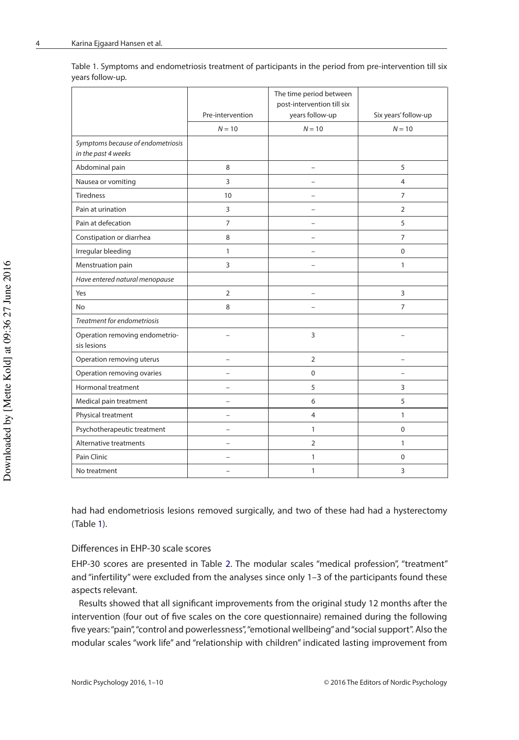<span id="page-3-0"></span>

| Table 1. Symptoms and endometriosis treatment of participants in the period from pre-intervention till six |  |
|------------------------------------------------------------------------------------------------------------|--|
| years follow-up.                                                                                           |  |

|                                                          | Pre-intervention         | The time period between<br>Six years' follow-up |                          |  |
|----------------------------------------------------------|--------------------------|-------------------------------------------------|--------------------------|--|
|                                                          | $N = 10$                 | years follow-up<br>$N = 10$                     | $N = 10$                 |  |
| Symptoms because of endometriosis<br>in the past 4 weeks |                          |                                                 |                          |  |
| Abdominal pain                                           | 8                        | $\overline{\phantom{0}}$                        | 5                        |  |
| Nausea or vomiting                                       | $\overline{3}$           | $\overline{a}$                                  | $\overline{4}$           |  |
| <b>Tiredness</b>                                         | 10                       |                                                 | $\overline{7}$           |  |
| Pain at urination                                        | $\overline{3}$           | $\overline{\phantom{0}}$                        | $\overline{2}$           |  |
| Pain at defecation                                       | $\overline{7}$           | $\overline{a}$                                  | 5                        |  |
| Constipation or diarrhea                                 | 8                        | -                                               | $\overline{7}$           |  |
| Irregular bleeding                                       | $\mathbf{1}$             |                                                 | 0                        |  |
| Menstruation pain                                        | 3                        | $\overline{a}$                                  | $\mathbf{1}$             |  |
| Have entered natural menopause                           |                          |                                                 |                          |  |
| Yes                                                      | $\overline{2}$           |                                                 | 3                        |  |
| No                                                       | 8                        | $\overline{\phantom{0}}$                        | $\overline{7}$           |  |
| Treatment for endometriosis                              |                          |                                                 |                          |  |
| Operation removing endometrio-<br>sis lesions            | $\overline{a}$           | 3                                               |                          |  |
| Operation removing uterus                                | $\qquad \qquad -$        | $\overline{2}$                                  | $\overline{\phantom{0}}$ |  |
| Operation removing ovaries                               |                          | $\Omega$                                        |                          |  |
| Hormonal treatment                                       | $\overline{\phantom{0}}$ | 5                                               | 3                        |  |
| Medical pain treatment                                   | $\overline{\phantom{0}}$ | 6                                               | 5                        |  |
| Physical treatment                                       | $\overline{\phantom{0}}$ | $\overline{4}$                                  | 1                        |  |
| Psychotherapeutic treatment                              | $\overline{\phantom{0}}$ | $\mathbf{1}$                                    | $\mathbf 0$              |  |
| Alternative treatments                                   | $\overline{\phantom{0}}$ | $\overline{2}$                                  | $\mathbf{1}$             |  |
| Pain Clinic                                              |                          | $\mathbf{1}$                                    | $\Omega$                 |  |
| No treatment                                             | $\overline{\phantom{0}}$ | $\mathbf{1}$                                    | 3                        |  |

had had endometriosis lesions removed surgically, and two of these had had a hysterectomy (Table [1\)](#page-3-0).

#### Diferences in EHP-30 scale scores

EHP-30 scores are presented in Table [2](#page-4-0). The modular scales "medical profession", "treatment" and "infertility" were excluded from the analyses since only 1–3 of the participants found these aspects relevant.

Results showed that all signifcant improvements from the original study 12 months after the intervention (four out of fve scales on the core questionnaire) remained during the following fve years: "pain", "control and powerlessness", "emotional wellbeing" and "social support". Also the modular scales "work life" and "relationship with children" indicated lasting improvement from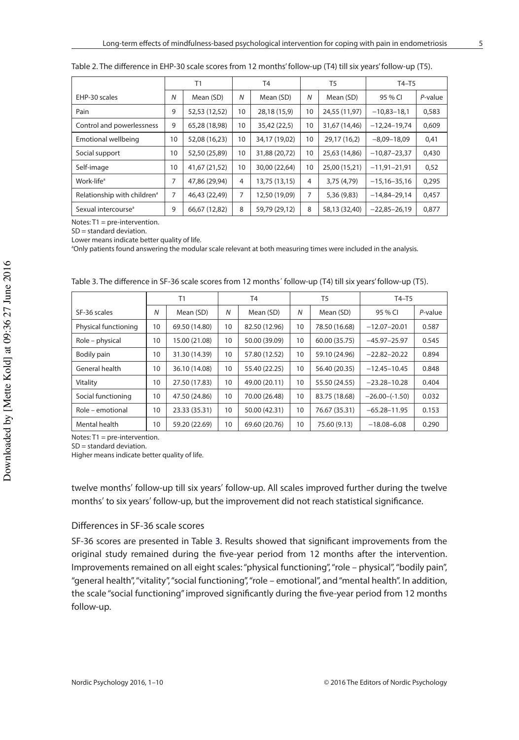|                                         | T1 |               | T <sub>4</sub> |               | T <sub>5</sub> |               | $T4-T5$         |            |
|-----------------------------------------|----|---------------|----------------|---------------|----------------|---------------|-----------------|------------|
| EHP-30 scales                           | N  | Mean (SD)     | N              | Mean (SD)     | $\overline{N}$ | Mean (SD)     | 95 % CI         | $P$ -value |
| Pain                                    | 9  | 52,53 (12,52) | 10             | 28,18 (15,9)  | 10             | 24,55 (11,97) | $-10.83 - 18.1$ | 0,583      |
| Control and powerlessness               | 9  | 65,28 (18,98) | 10             | 35,42 (22,5)  | 10             | 31,67 (14,46) | $-12,24-19,74$  | 0,609      |
| Emotional wellbeing                     | 10 | 52,08 (16,23) | 10             | 34,17 (19,02) | 10             | 29,17 (16,2)  | $-8,09-18,09$   | 0,41       |
| Social support                          | 10 | 52,50 (25,89) | 10             | 31,88 (20,72) | 10             | 25,63 (14,86) | $-10,87-23,37$  | 0,430      |
| Self-image                              | 10 | 41,67 (21,52) | 10             | 30,00 (22,64) | 10             | 25,00 (15,21) | $-11,91-21,91$  | 0,52       |
| Work-life <sup>a</sup>                  | 7  | 47,86 (29,94) | 4              | 13,75 (13,15) | $\overline{4}$ | 3,75 (4,79)   | $-15,16-35,16$  | 0,295      |
| Relationship with children <sup>a</sup> | 7  | 46,43 (22,49) | 7              | 12,50 (19,09) | 7              | 5,36 (9,83)   | $-14,84-29,14$  | 0,457      |
| Sexual intercourse <sup>a</sup>         | 9  | 66,67 (12,82) | 8              | 59,79 (29,12) | 8              | 58,13 (32,40) | $-22,85-26,19$  | 0,877      |

<span id="page-4-0"></span>

| Table 2. The difference in EHP-30 scale scores from 12 months' follow-up (T4) till six years' follow-up (T5). |  |  |
|---------------------------------------------------------------------------------------------------------------|--|--|
|---------------------------------------------------------------------------------------------------------------|--|--|

Notes: T1 = pre-intervention.

SD = standard deviation.

Lower means indicate better quality of life.

a Only patients found answering the modular scale relevant at both measuring times were included in the analysis.

|                      | Τ1 |               | T <sub>4</sub> |               | T <sub>5</sub> |               | $T4-T5$            |         |
|----------------------|----|---------------|----------------|---------------|----------------|---------------|--------------------|---------|
| SF-36 scales         | N  | Mean (SD)     | $\overline{N}$ | Mean (SD)     | $\overline{N}$ | Mean (SD)     | 95 % CI            | P-value |
| Physical functioning | 10 | 69.50 (14.80) | 10             | 82.50 (12.96) | 10             | 78.50 (16.68) | $-12.07 - 20.01$   | 0.587   |
| Role – physical      | 10 | 15.00 (21.08) | 10             | 50.00 (39.09) | 10             | 60.00 (35.75) | $-45.97 - 25.97$   | 0.545   |
| Bodily pain          | 10 | 31.30 (14.39) | 10             | 57.80 (12.52) | 10             | 59.10 (24.96) | $-22.82 - 20.22$   | 0.894   |
| General health       | 10 | 36.10 (14.08) | 10             | 55.40 (22.25) | 10             | 56.40 (20.35) | $-12.45 - 10.45$   | 0.848   |
| Vitality             | 10 | 27.50 (17.83) | 10             | 49.00 (20.11) | 10             | 55.50 (24.55) | $-23.28 - 10.28$   | 0.404   |
| Social functioning   | 10 | 47.50 (24.86) | 10             | 70.00 (26.48) | 10             | 83.75 (18.68) | $-26.00 - (-1.50)$ | 0.032   |
| Role – emotional     | 10 | 23.33 (35.31) | 10             | 50.00 (42.31) | 10             | 76.67 (35.31) | $-65.28 - 11.95$   | 0.153   |
| Mental health        | 10 | 59.20 (22.69) | 10             | 69.60 (20.76) | 10             | 75.60 (9.13)  | $-18.08 - 6.08$    | 0.290   |

<span id="page-4-1"></span>Table 3. The diference in SF-36 scale scores from 12 months´ follow-up (T4) till six years' follow-up (T5).

Notes: T1 = pre-intervention.

SD = standard deviation.

Higher means indicate better quality of life.

twelve months′ follow-up till six years′ follow-up. All scales improved further during the twelve months′ to six years′ follow-up, but the improvement did not reach statistical signifcance.

### Diferences in SF-36 scale scores

SF-36 scores are presented in Table [3](#page-4-1). Results showed that signifcant improvements from the original study remained during the fve-year period from 12 months after the intervention. Improvements remained on all eight scales: "physical functioning", "role – physical", "bodily pain", "general health", "vitality", "social functioning", "role – emotional", and "mental health". In addition, the scale "social functioning" improved signifcantly during the fve-year period from 12 months follow-up.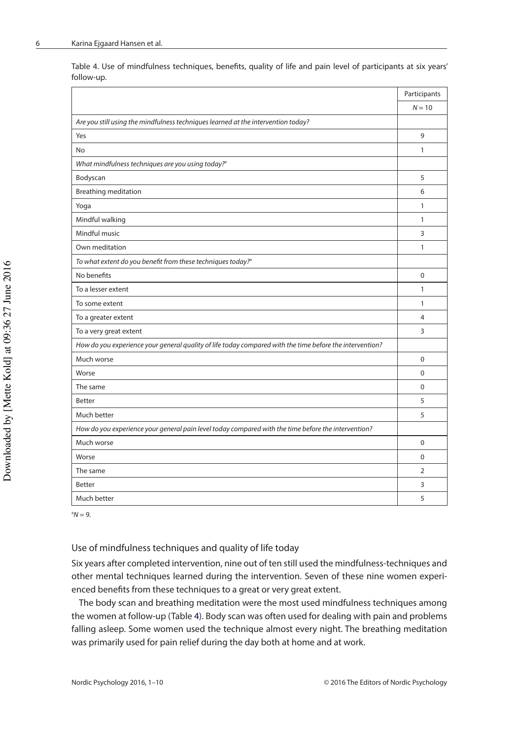<span id="page-5-0"></span>Table 4. Use of mindfulness techniques, benefts, quality of life and pain level of participants at six years' follow-up.

|                                                                                                          | Participants   |
|----------------------------------------------------------------------------------------------------------|----------------|
|                                                                                                          | $N = 10$       |
| Are you still using the mindfulness techniques learned at the intervention today?                        |                |
| Yes                                                                                                      | 9              |
| No                                                                                                       | $\mathbf{1}$   |
| What mindfulness techniques are you using today? <sup>a</sup>                                            |                |
| Bodyscan                                                                                                 | 5              |
| Breathing meditation                                                                                     | 6              |
| Yoga                                                                                                     | 1              |
| Mindful walking                                                                                          | $\mathbf{1}$   |
| Mindful music                                                                                            | 3              |
| Own meditation                                                                                           | 1              |
| To what extent do you benefit from these techniques today? <sup>a</sup>                                  |                |
| No benefits                                                                                              | $\Omega$       |
| To a lesser extent                                                                                       | $\mathbf{1}$   |
| To some extent                                                                                           | $\mathbf{1}$   |
| To a greater extent                                                                                      | $\overline{4}$ |
| To a very great extent                                                                                   | 3              |
| How do you experience your general quality of life today compared with the time before the intervention? |                |
| Much worse                                                                                               | $\Omega$       |
| Worse                                                                                                    | $\mathbf 0$    |
| The same                                                                                                 | $\Omega$       |
| <b>Better</b>                                                                                            | 5              |
| Much better                                                                                              | 5              |
| How do you experience your general pain level today compared with the time before the intervention?      |                |
| Much worse                                                                                               | $\Omega$       |
| Worse                                                                                                    | 0              |
| The same                                                                                                 | $\overline{2}$ |
| <b>Better</b>                                                                                            | 3              |
| Much better                                                                                              | 5              |

 $^{\circ}N = 9$ .

## Use of mindfulness techniques and quality of life today

Six years after completed intervention, nine out of ten still used the mindfulness-techniques and other mental techniques learned during the intervention. Seven of these nine women experienced benefts from these techniques to a great or very great extent.

The body scan and breathing meditation were the most used mindfulness techniques among the women at follow-up (Table [4](#page-5-0)). Body scan was often used for dealing with pain and problems falling asleep. Some women used the technique almost every night. The breathing meditation was primarily used for pain relief during the day both at home and at work.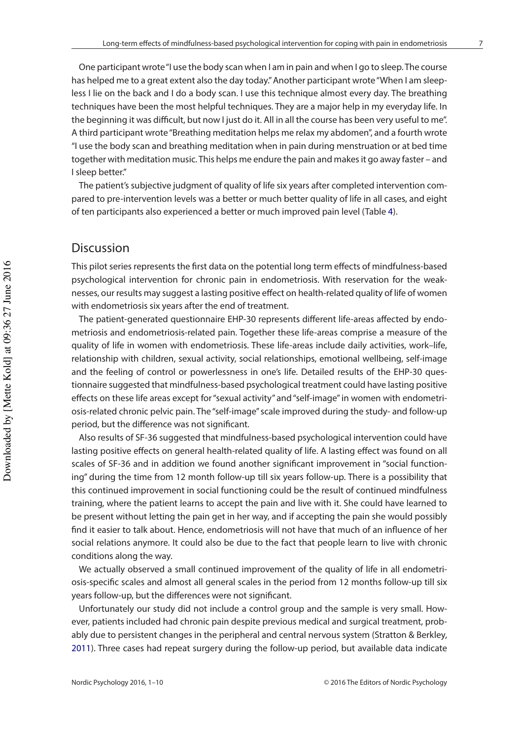One participant wrote "I use the body scan when I am in pain and when I go to sleep. The course has helped me to a great extent also the day today." Another participant wrote "When I am sleepless I lie on the back and I do a body scan. I use this technique almost every day. The breathing techniques have been the most helpful techniques. They are a major help in my everyday life. In the beginning it was difficult, but now I just do it. All in all the course has been very useful to me". A third participant wrote "Breathing meditation helps me relax my abdomen", and a fourth wrote "I use the body scan and breathing meditation when in pain during menstruation or at bed time together with meditation music. This helps me endure the pain and makes it go away faster – and I sleep better."

The patient's subjective judgment of quality of life six years after completed intervention compared to pre-intervention levels was a better or much better quality of life in all cases, and eight of ten participants also experienced a better or much improved pain level (Table [4\)](#page-5-0).

# Discussion

This pilot series represents the frst data on the potential long term efects of mindfulness-based psychological intervention for chronic pain in endometriosis. With reservation for the weaknesses, our results may suggest a lasting positive efect on health-related quality of life of women with endometriosis six years after the end of treatment.

The patient-generated questionnaire EHP-30 represents diferent life-areas afected by endometriosis and endometriosis-related pain. Together these life-areas comprise a measure of the quality of life in women with endometriosis. These life-areas include daily activities, work–life, relationship with children, sexual activity, social relationships, emotional wellbeing, self-image and the feeling of control or powerlessness in one's life. Detailed results of the EHP-30 questionnaire suggested that mindfulness-based psychological treatment could have lasting positive efects on these life areas except for "sexual activity" and "self-image" in women with endometriosis-related chronic pelvic pain. The "self-image" scale improved during the study- and follow-up period, but the diference was not signifcant.

Also results of SF-36 suggested that mindfulness-based psychological intervention could have lasting positive efects on general health-related quality of life. A lasting efect was found on all scales of SF-36 and in addition we found another signifcant improvement in "social functioning" during the time from 12 month follow-up till six years follow-up. There is a possibility that this continued improvement in social functioning could be the result of continued mindfulness training, where the patient learns to accept the pain and live with it. She could have learned to be present without letting the pain get in her way, and if accepting the pain she would possibly fnd it easier to talk about. Hence, endometriosis will not have that much of an infuence of her social relations anymore. It could also be due to the fact that people learn to live with chronic conditions along the way.

We actually observed a small continued improvement of the quality of life in all endometriosis-specifc scales and almost all general scales in the period from 12 months follow-up till six years follow-up, but the diferences were not signifcant.

Unfortunately our study did not include a control group and the sample is very small. However, patients included had chronic pain despite previous medical and surgical treatment, probably due to persistent changes in the peripheral and central nervous system (Stratton & Berkley, [2011](#page-9-9)). Three cases had repeat surgery during the follow-up period, but available data indicate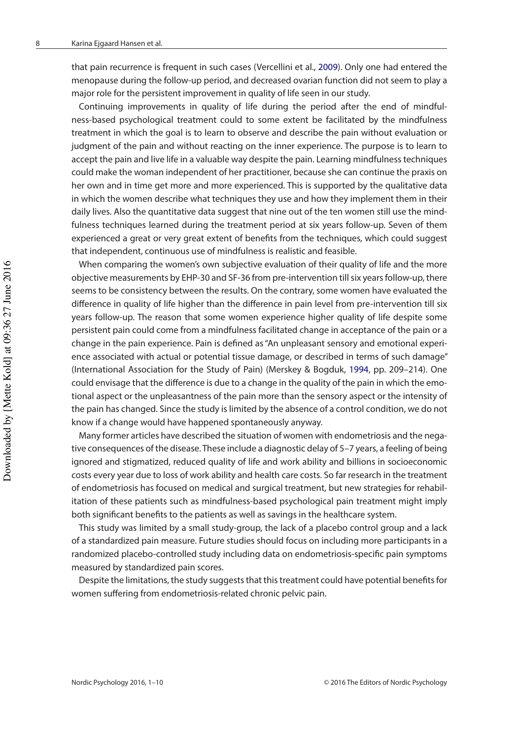that pain recurrence is frequent in such cases (Vercellini et al., [2009](#page-9-10)). Only one had entered the menopause during the follow-up period, and decreased ovarian function did not seem to play a major role for the persistent improvement in quality of life seen in our study.

Continuing improvements in quality of life during the period after the end of mindfulness-based psychological treatment could to some extent be facilitated by the mindfulness treatment in which the goal is to learn to observe and describe the pain without evaluation or judgment of the pain and without reacting on the inner experience. The purpose is to learn to accept the pain and live life in a valuable way despite the pain. Learning mindfulness techniques could make the woman independent of her practitioner, because she can continue the praxis on her own and in time get more and more experienced. This is supported by the qualitative data in which the women describe what techniques they use and how they implement them in their daily lives. Also the quantitative data suggest that nine out of the ten women still use the mindfulness techniques learned during the treatment period at six years follow-up. Seven of them experienced a great or very great extent of benefts from the techniques, which could suggest that independent, continuous use of mindfulness is realistic and feasible.

When comparing the women's own subjective evaluation of their quality of life and the more objective measurements by EHP-30 and SF-36 from pre-intervention till six years follow-up, there seems to be consistency between the results. On the contrary, some women have evaluated the diference in quality of life higher than the diference in pain level from pre-intervention till six years follow-up. The reason that some women experience higher quality of life despite some persistent pain could come from a mindfulness facilitated change in acceptance of the pain or a change in the pain experience. Pain is defned as "An unpleasant sensory and emotional experience associated with actual or potential tissue damage, or described in terms of such damage" (International Association for the Study of Pain) (Merskey & Bogduk, [1994](#page-9-11), pp. 209–214). One could envisage that the diference is due to a change in the quality of the pain in which the emotional aspect or the unpleasantness of the pain more than the sensory aspect or the intensity of the pain has changed. Since the study is limited by the absence of a control condition, we do not know if a change would have happened spontaneously anyway.

Many former articles have described the situation of women with endometriosis and the negative consequences of the disease. These include a diagnostic delay of 5–7 years, a feeling of being ignored and stigmatized, reduced quality of life and work ability and billions in socioeconomic costs every year due to loss of work ability and health care costs. So far research in the treatment of endometriosis has focused on medical and surgical treatment, but new strategies for rehabilitation of these patients such as mindfulness-based psychological pain treatment might imply both signifcant benefts to the patients as well as savings in the healthcare system.

This study was limited by a small study-group, the lack of a placebo control group and a lack of a standardized pain measure. Future studies should focus on including more participants in a randomized placebo-controlled study including data on endometriosis-specifc pain symptoms measured by standardized pain scores.

Despite the limitations, the study suggests that this treatment could have potential benefts for women suffering from endometriosis-related chronic pelvic pain.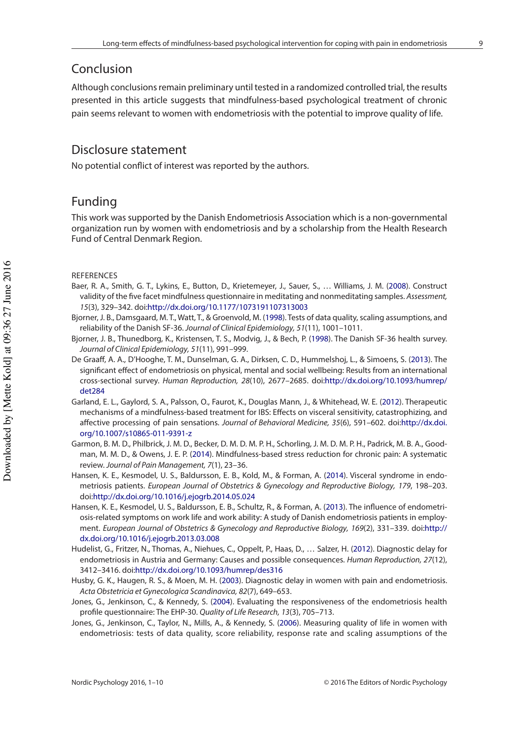## Conclusion

Although conclusions remain preliminary until tested in a randomized controlled trial, the results presented in this article suggests that mindfulness-based psychological treatment of chronic pain seems relevant to women with endometriosis with the potential to improve quality of life.

# Disclosure statement

No potential confict of interest was reported by the authors.

## Funding

This work was supported by the Danish Endometriosis Association which is a non-governmental organization run by women with endometriosis and by a scholarship from the Health Research Fund of Central Denmark Region.

#### **REFERENCES**

- <span id="page-8-7"></span>Baer, R. A., Smith, G. T., Lykins, E., Button, D., Krietemeyer, J., Sauer, S., … Williams, J. M. ([2008](#page-1-0)). Construct validity of the five facet mindfulness questionnaire in meditating and nonmeditating samples. Assessment, 15(3), 329–342. doi[:http://dx.doi.org/10.1177/1073191107313003](http://dx.doi.org/10.1177/1073191107313003)
- <span id="page-8-10"></span>Bjorner, J. B., Damsgaard, M. T., Watt, T., & Groenvold, M. [\(1998\)](#page-2-0). Tests of data quality, scaling assumptions, and reliability of the Danish SF-36. Journal of Clinical Epidemiology, 51(11), 1001–1011.
- <span id="page-8-11"></span>Bjorner, J. B., Thunedborg, K., Kristensen, T. S., Modvig, J., & Bech, P. ([1998](#page-2-1)). The Danish SF-36 health survey. Journal of Clinical Epidemiology, 51(11), 991–999.
- <span id="page-8-3"></span>De Graaf, A. A., D'Hooghe, T. M., Dunselman, G. A., Dirksen, C. D., Hummelshoj, L., & Simoens, S. ([2013](#page-1-1)). The signifcant efect of endometriosis on physical, mental and social wellbeing: Results from an international cross-sectional survey. Human Reproduction, 28(10), 2677–2685. doi:[http://dx.doi.org/10.1093/humrep/](http://dx.doi.org/10.1093/humrep/det284) [det284](http://dx.doi.org/10.1093/humrep/det284)
- <span id="page-8-5"></span>Garland, E. L., Gaylord, S. A., Palsson, O., Faurot, K., Douglas Mann, J., & Whitehead, W. E. [\(2012\)](#page-1-2). Therapeutic mechanisms of a mindfulness-based treatment for IBS: Efects on visceral sensitivity, catastrophizing, and afective processing of pain sensations. Journal of Behavioral Medicine, 35(6), 591–602. doi[:http://dx.doi.](http://dx.doi.org/10.1007/s10865-011-9391-z) [org/10.1007/s10865-011-9391-z](http://dx.doi.org/10.1007/s10865-011-9391-z)
- <span id="page-8-6"></span>Garmon, B. M. D., Philbrick, J. M. D., Becker, D. M. D. M. P. H., Schorling, J. M. D. M. P. H., Padrick, M. B. A., Goodman, M. M. D., & Owens, J. E. P. ([2014](#page-1-3)). Mindfulness-based stress reduction for chronic pain: A systematic review. Journal of Pain Management, 7(1), 23–36.
- <span id="page-8-0"></span>Hansen, K. E., Kesmodel, U. S., Baldursson, E. B., Kold, M., & Forman, A. [\(2014\)](#page-1-4). Visceral syndrome in endometriosis patients. European Journal of Obstetrics & Gynecology and Reproductive Biology, 179, 198–203. doi[:http://dx.doi.org/10.1016/j.ejogrb.2014.05.024](http://dx.doi.org/10.1016/j.ejogrb.2014.05.024)
- <span id="page-8-4"></span>Hansen, K. E., Kesmodel, U. S., Baldursson, E. B., Schultz, R., & Forman, A. ([2013](#page-1-5)). The infuence of endometriosis-related symptoms on work life and work ability: A study of Danish endometriosis patients in employment. European Journal of Obstetrics & Gynecology and Reproductive Biology, 169(2), 331–339. doi:[http://](http://dx.doi.org/10.1016/j.ejogrb.2013.03.008) [dx.doi.org/10.1016/j.ejogrb.2013.03.008](http://dx.doi.org/10.1016/j.ejogrb.2013.03.008)
- <span id="page-8-1"></span>Hudelist, G., Fritzer, N., Thomas, A., Niehues, C., Oppelt, P., Haas, D., … Salzer, H. ([2012](#page-1-6)). Diagnostic delay for endometriosis in Austria and Germany: Causes and possible consequences. Human Reproduction, 27(12), 3412–3416. doi:<http://dx.doi.org/10.1093/humrep/des316>
- <span id="page-8-2"></span>Husby, G. K., Haugen, R. S., & Moen, M. H. ([2003](#page-1-7)). Diagnostic delay in women with pain and endometriosis. Acta Obstetricia et Gynecologica Scandinavica, 82(7), 649–653.
- <span id="page-8-8"></span>Jones, G., Jenkinson, C., & Kennedy, S. [\(2004\)](#page-2-2). Evaluating the responsiveness of the endometriosis health profle questionnaire: The EHP-30. Quality of Life Research, 13(3), 705–713.
- <span id="page-8-9"></span>Jones, G., Jenkinson, C., Taylor, N., Mills, A., & Kennedy, S. ([2006](#page-2-3)). Measuring quality of life in women with endometriosis: tests of data quality, score reliability, response rate and scaling assumptions of the